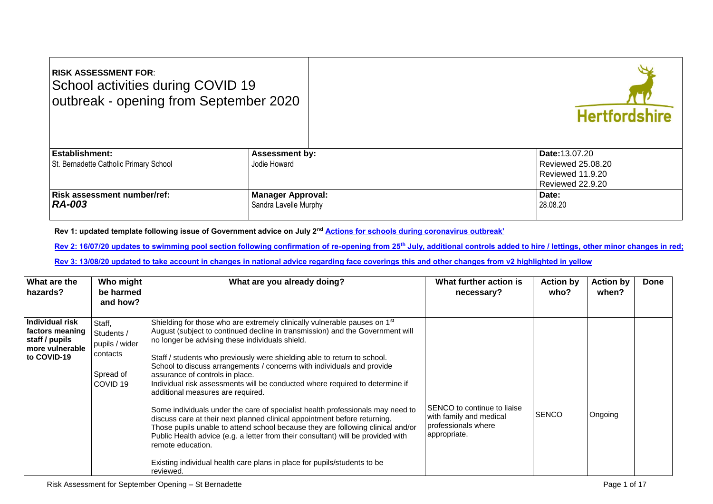| <b>RISK ASSESSMENT FOR:</b><br>School activities during COVID 19<br>outbreak - opening from September 2020 |                          | <b>Hertfordshire</b> |
|------------------------------------------------------------------------------------------------------------|--------------------------|----------------------|
| <b>Establishment:</b>                                                                                      | <b>Assessment by:</b>    | Date: 13.07.20       |
| St. Bernadette Catholic Primary School                                                                     | Jodie Howard             | Reviewed 25,08,20    |
|                                                                                                            |                          | Reviewed 11.9.20     |
|                                                                                                            |                          | Reviewed 22.9.20     |
| <b>Risk assessment number/ref:</b>                                                                         | <b>Manager Approval:</b> | Date:                |
| <b>RA-003</b>                                                                                              | Sandra Lavelle Murphy    | 28.08.20             |
|                                                                                                            |                          |                      |

**Rev 1: updated template following issue of Government advice on July 2nd A[ctions for schools during coronavirus outbreak'](https://www.gov.uk/government/publications/actions-for-schools-during-the-coronavirus-outbreak)**

**Rev 2: 16/07/20 updates to swimming pool section following confirmation of re-opening from 25th July, additional controls added to hire / lettings, other minor changes in red;**

**Rev 3: 13/08/20 updated to take account in changes in national advice regarding face coverings this and other changes from v2 highlighted in yellow**

| What are the<br>hazards?                                                               | Who might<br>be harmed<br>and how?                                                     | What are you already doing?                                                                                                                                                                                                                                                                                                                                                                                                                                                                                                                                                                                                                                                                                                                                                                                                                                                                                                                                                                 | What further action is<br>necessary?                                                          | <b>Action by</b><br>who? | <b>Action by</b><br>when? | <b>Done</b> |
|----------------------------------------------------------------------------------------|----------------------------------------------------------------------------------------|---------------------------------------------------------------------------------------------------------------------------------------------------------------------------------------------------------------------------------------------------------------------------------------------------------------------------------------------------------------------------------------------------------------------------------------------------------------------------------------------------------------------------------------------------------------------------------------------------------------------------------------------------------------------------------------------------------------------------------------------------------------------------------------------------------------------------------------------------------------------------------------------------------------------------------------------------------------------------------------------|-----------------------------------------------------------------------------------------------|--------------------------|---------------------------|-------------|
| Individual risk<br>factors meaning<br>staff / pupils<br>more vulnerable<br>to COVID-19 | Staff,<br>Students /<br>pupils / wider<br>contacts<br>Spread of<br>COVID <sub>19</sub> | Shielding for those who are extremely clinically vulnerable pauses on 1 <sup>st</sup><br>August (subject to continued decline in transmission) and the Government will<br>no longer be advising these individuals shield.<br>Staff / students who previously were shielding able to return to school.<br>School to discuss arrangements / concerns with individuals and provide<br>assurance of controls in place.<br>Individual risk assessments will be conducted where required to determine if<br>additional measures are required.<br>Some individuals under the care of specialist health professionals may need to<br>discuss care at their next planned clinical appointment before returning.<br>Those pupils unable to attend school because they are following clinical and/or<br>Public Health advice (e.g. a letter from their consultant) will be provided with<br>remote education.<br>Existing individual health care plans in place for pupils/students to be<br>reviewed. | SENCO to continue to liaise<br>with family and medical<br>professionals where<br>appropriate. | <b>SENCO</b>             | Ongoing                   |             |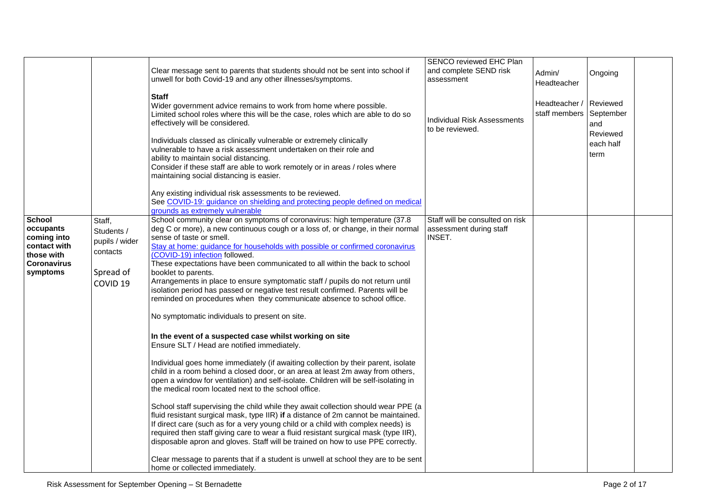|                                                                                                           |                                                                                        | Clear message sent to parents that students should not be sent into school if<br>unwell for both Covid-19 and any other illnesses/symptoms.<br><b>Staff</b><br>Wider government advice remains to work from home where possible.<br>Limited school roles where this will be the case, roles which are able to do so<br>effectively will be considered.<br>Individuals classed as clinically vulnerable or extremely clinically<br>vulnerable to have a risk assessment undertaken on their role and<br>ability to maintain social distancing.<br>Consider if these staff are able to work remotely or in areas / roles where<br>maintaining social distancing is easier.                                                                                                                                                                                                                                                                                                                                                                                                                                                                                                                                                                                                                                                                                                                                                                                                                                                                                                                                                                                                                                        | SENCO reviewed EHC Plan<br>and complete SEND risk<br>assessment<br>Individual Risk Assessments<br>to be reviewed. | Admin/<br>Headteacher<br>Headteacher /<br>staff members September | Ongoing<br>Reviewed<br>and<br>Reviewed<br>each half<br>term |  |
|-----------------------------------------------------------------------------------------------------------|----------------------------------------------------------------------------------------|-----------------------------------------------------------------------------------------------------------------------------------------------------------------------------------------------------------------------------------------------------------------------------------------------------------------------------------------------------------------------------------------------------------------------------------------------------------------------------------------------------------------------------------------------------------------------------------------------------------------------------------------------------------------------------------------------------------------------------------------------------------------------------------------------------------------------------------------------------------------------------------------------------------------------------------------------------------------------------------------------------------------------------------------------------------------------------------------------------------------------------------------------------------------------------------------------------------------------------------------------------------------------------------------------------------------------------------------------------------------------------------------------------------------------------------------------------------------------------------------------------------------------------------------------------------------------------------------------------------------------------------------------------------------------------------------------------------------|-------------------------------------------------------------------------------------------------------------------|-------------------------------------------------------------------|-------------------------------------------------------------|--|
|                                                                                                           |                                                                                        | Any existing individual risk assessments to be reviewed.<br>See COVID-19: guidance on shielding and protecting people defined on medical<br>grounds as extremely vulnerable                                                                                                                                                                                                                                                                                                                                                                                                                                                                                                                                                                                                                                                                                                                                                                                                                                                                                                                                                                                                                                                                                                                                                                                                                                                                                                                                                                                                                                                                                                                                     |                                                                                                                   |                                                                   |                                                             |  |
| <b>School</b><br>occupants<br>coming into<br>contact with<br>those with<br><b>Coronavirus</b><br>symptoms | Staff,<br>Students /<br>pupils / wider<br>contacts<br>Spread of<br>COVID <sub>19</sub> | School community clear on symptoms of coronavirus: high temperature (37.8<br>deg C or more), a new continuous cough or a loss of, or change, in their normal<br>sense of taste or smell.<br>Stay at home: guidance for households with possible or confirmed coronavirus<br>(COVID-19) infection followed.<br>These expectations have been communicated to all within the back to school<br>booklet to parents.<br>Arrangements in place to ensure symptomatic staff / pupils do not return until<br>isolation period has passed or negative test result confirmed. Parents will be<br>reminded on procedures when they communicate absence to school office.<br>No symptomatic individuals to present on site.<br>In the event of a suspected case whilst working on site<br>Ensure SLT / Head are notified immediately.<br>Individual goes home immediately (if awaiting collection by their parent, isolate<br>child in a room behind a closed door, or an area at least 2m away from others,<br>open a window for ventilation) and self-isolate. Children will be self-isolating in<br>the medical room located next to the school office.<br>School staff supervising the child while they await collection should wear PPE (a<br>fluid resistant surgical mask, type IIR) if a distance of 2m cannot be maintained.<br>If direct care (such as for a very young child or a child with complex needs) is<br>required then staff giving care to wear a fluid resistant surgical mask (type IIR),<br>disposable apron and gloves. Staff will be trained on how to use PPE correctly.<br>Clear message to parents that if a student is unwell at school they are to be sent<br>home or collected immediately. | Staff will be consulted on risk<br>assessment during staff<br>INSET.                                              |                                                                   |                                                             |  |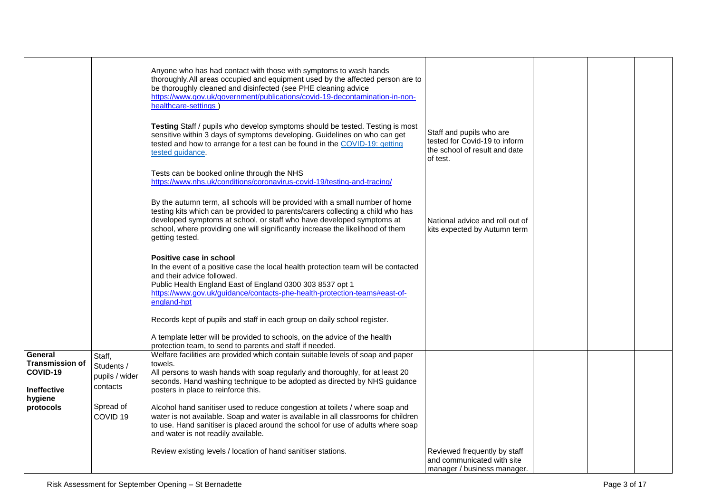|                        |                     | Anyone who has had contact with those with symptoms to wash hands<br>thoroughly. All areas occupied and equipment used by the affected person are to<br>be thoroughly cleaned and disinfected (see PHE cleaning advice<br>https://www.gov.uk/government/publications/covid-19-decontamination-in-non-<br>healthcare-settings<br>Testing Staff / pupils who develop symptoms should be tested. Testing is most<br>sensitive within 3 days of symptoms developing. Guidelines on who can get<br>tested and how to arrange for a test can be found in the COVID-19: getting<br>tested guidance. | Staff and pupils who are<br>tested for Covid-19 to inform<br>the school of result and date<br>of test. |  |  |
|------------------------|---------------------|----------------------------------------------------------------------------------------------------------------------------------------------------------------------------------------------------------------------------------------------------------------------------------------------------------------------------------------------------------------------------------------------------------------------------------------------------------------------------------------------------------------------------------------------------------------------------------------------|--------------------------------------------------------------------------------------------------------|--|--|
|                        |                     | Tests can be booked online through the NHS<br>https://www.nhs.uk/conditions/coronavirus-covid-19/testing-and-tracing/                                                                                                                                                                                                                                                                                                                                                                                                                                                                        |                                                                                                        |  |  |
|                        |                     | By the autumn term, all schools will be provided with a small number of home<br>testing kits which can be provided to parents/carers collecting a child who has<br>developed symptoms at school, or staff who have developed symptoms at<br>school, where providing one will significantly increase the likelihood of them<br>getting tested.                                                                                                                                                                                                                                                | National advice and roll out of<br>kits expected by Autumn term                                        |  |  |
|                        |                     | Positive case in school<br>In the event of a positive case the local health protection team will be contacted<br>and their advice followed.<br>Public Health England East of England 0300 303 8537 opt 1<br>https://www.gov.uk/guidance/contacts-phe-health-protection-teams#east-of-<br>england-hpt                                                                                                                                                                                                                                                                                         |                                                                                                        |  |  |
|                        |                     | Records kept of pupils and staff in each group on daily school register.<br>A template letter will be provided to schools, on the advice of the health                                                                                                                                                                                                                                                                                                                                                                                                                                       |                                                                                                        |  |  |
|                        |                     | protection team, to send to parents and staff if needed.                                                                                                                                                                                                                                                                                                                                                                                                                                                                                                                                     |                                                                                                        |  |  |
| General                | Staff,              | Welfare facilities are provided which contain suitable levels of soap and paper                                                                                                                                                                                                                                                                                                                                                                                                                                                                                                              |                                                                                                        |  |  |
| <b>Transmission of</b> |                     | towels.                                                                                                                                                                                                                                                                                                                                                                                                                                                                                                                                                                                      |                                                                                                        |  |  |
| COVID-19               | Students /          | All persons to wash hands with soap regularly and thoroughly, for at least 20                                                                                                                                                                                                                                                                                                                                                                                                                                                                                                                |                                                                                                        |  |  |
|                        | pupils / wider      | seconds. Hand washing technique to be adopted as directed by NHS guidance                                                                                                                                                                                                                                                                                                                                                                                                                                                                                                                    |                                                                                                        |  |  |
| <b>Ineffective</b>     | contacts            | posters in place to reinforce this.                                                                                                                                                                                                                                                                                                                                                                                                                                                                                                                                                          |                                                                                                        |  |  |
| hygiene                |                     |                                                                                                                                                                                                                                                                                                                                                                                                                                                                                                                                                                                              |                                                                                                        |  |  |
| protocols              | Spread of           | Alcohol hand sanitiser used to reduce congestion at toilets / where soap and                                                                                                                                                                                                                                                                                                                                                                                                                                                                                                                 |                                                                                                        |  |  |
|                        | COVID <sub>19</sub> | water is not available. Soap and water is available in all classrooms for children<br>to use. Hand sanitiser is placed around the school for use of adults where soap<br>and water is not readily available.                                                                                                                                                                                                                                                                                                                                                                                 |                                                                                                        |  |  |
|                        |                     | Review existing levels / location of hand sanitiser stations.                                                                                                                                                                                                                                                                                                                                                                                                                                                                                                                                | Reviewed frequently by staff<br>and communicated with site<br>manager / business manager.              |  |  |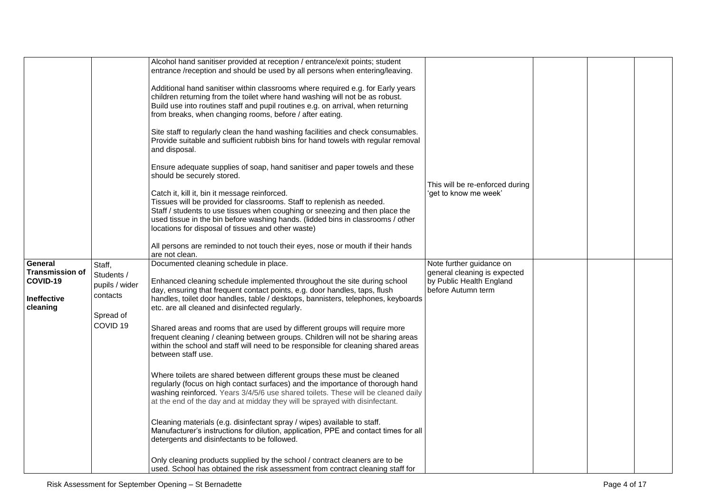|                        |                     | Alcohol hand sanitiser provided at reception / entrance/exit points; student                                                                                     |                                 |  |  |
|------------------------|---------------------|------------------------------------------------------------------------------------------------------------------------------------------------------------------|---------------------------------|--|--|
|                        |                     | entrance /reception and should be used by all persons when entering/leaving.                                                                                     |                                 |  |  |
|                        |                     | Additional hand sanitiser within classrooms where required e.g. for Early years                                                                                  |                                 |  |  |
|                        |                     | children returning from the toilet where hand washing will not be as robust.                                                                                     |                                 |  |  |
|                        |                     | Build use into routines staff and pupil routines e.g. on arrival, when returning                                                                                 |                                 |  |  |
|                        |                     | from breaks, when changing rooms, before / after eating.                                                                                                         |                                 |  |  |
|                        |                     |                                                                                                                                                                  |                                 |  |  |
|                        |                     | Site staff to regularly clean the hand washing facilities and check consumables.                                                                                 |                                 |  |  |
|                        |                     | Provide suitable and sufficient rubbish bins for hand towels with regular removal                                                                                |                                 |  |  |
|                        |                     | and disposal.                                                                                                                                                    |                                 |  |  |
|                        |                     | Ensure adequate supplies of soap, hand sanitiser and paper towels and these                                                                                      |                                 |  |  |
|                        |                     | should be securely stored.                                                                                                                                       |                                 |  |  |
|                        |                     |                                                                                                                                                                  | This will be re-enforced during |  |  |
|                        |                     | Catch it, kill it, bin it message reinforced.                                                                                                                    | 'get to know me week'           |  |  |
|                        |                     | Tissues will be provided for classrooms. Staff to replenish as needed.                                                                                           |                                 |  |  |
|                        |                     | Staff / students to use tissues when coughing or sneezing and then place the                                                                                     |                                 |  |  |
|                        |                     | used tissue in the bin before washing hands. (lidded bins in classrooms / other                                                                                  |                                 |  |  |
|                        |                     | locations for disposal of tissues and other waste)                                                                                                               |                                 |  |  |
|                        |                     | All persons are reminded to not touch their eyes, nose or mouth if their hands                                                                                   |                                 |  |  |
|                        |                     | are not clean.                                                                                                                                                   |                                 |  |  |
| General                | Staff,              | Documented cleaning schedule in place.                                                                                                                           | Note further guidance on        |  |  |
| <b>Transmission of</b> | Students /          |                                                                                                                                                                  | general cleaning is expected    |  |  |
| COVID-19               | pupils / wider      | Enhanced cleaning schedule implemented throughout the site during school                                                                                         | by Public Health England        |  |  |
| <b>Ineffective</b>     | contacts            | day, ensuring that frequent contact points, e.g. door handles, taps, flush<br>handles, toilet door handles, table / desktops, bannisters, telephones, keyboards  | before Autumn term              |  |  |
| cleaning               |                     | etc. are all cleaned and disinfected regularly.                                                                                                                  |                                 |  |  |
|                        | Spread of           |                                                                                                                                                                  |                                 |  |  |
|                        | COVID <sub>19</sub> | Shared areas and rooms that are used by different groups will require more                                                                                       |                                 |  |  |
|                        |                     | frequent cleaning / cleaning between groups. Children will not be sharing areas                                                                                  |                                 |  |  |
|                        |                     | within the school and staff will need to be responsible for cleaning shared areas                                                                                |                                 |  |  |
|                        |                     | between staff use.                                                                                                                                               |                                 |  |  |
|                        |                     |                                                                                                                                                                  |                                 |  |  |
|                        |                     | Where toilets are shared between different groups these must be cleaned                                                                                          |                                 |  |  |
|                        |                     | regularly (focus on high contact surfaces) and the importance of thorough hand                                                                                   |                                 |  |  |
|                        |                     | washing reinforced. Years 3/4/5/6 use shared toilets. These will be cleaned daily                                                                                |                                 |  |  |
|                        |                     | at the end of the day and at midday they will be sprayed with disinfectant.                                                                                      |                                 |  |  |
|                        |                     |                                                                                                                                                                  |                                 |  |  |
|                        |                     | Cleaning materials (e.g. disinfectant spray / wipes) available to staff.<br>Manufacturer's instructions for dilution, application, PPE and contact times for all |                                 |  |  |
|                        |                     | detergents and disinfectants to be followed.                                                                                                                     |                                 |  |  |
|                        |                     |                                                                                                                                                                  |                                 |  |  |
|                        |                     | Only cleaning products supplied by the school / contract cleaners are to be                                                                                      |                                 |  |  |
|                        |                     | used. School has obtained the risk assessment from contract cleaning staff for                                                                                   |                                 |  |  |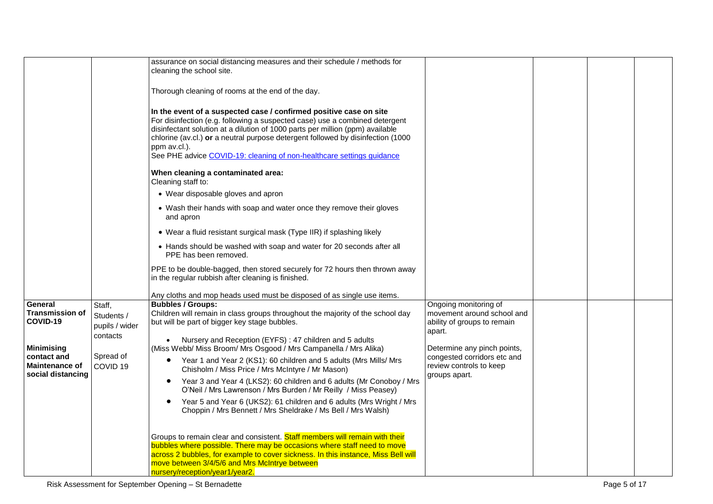|                                                           |                                  | assurance on social distancing measures and their schedule / methods for<br>cleaning the school site.                                                                                                                                                                                                                                                                                                          |                                                           |  |  |
|-----------------------------------------------------------|----------------------------------|----------------------------------------------------------------------------------------------------------------------------------------------------------------------------------------------------------------------------------------------------------------------------------------------------------------------------------------------------------------------------------------------------------------|-----------------------------------------------------------|--|--|
|                                                           |                                  | Thorough cleaning of rooms at the end of the day.                                                                                                                                                                                                                                                                                                                                                              |                                                           |  |  |
|                                                           |                                  | In the event of a suspected case / confirmed positive case on site<br>For disinfection (e.g. following a suspected case) use a combined detergent<br>disinfectant solution at a dilution of 1000 parts per million (ppm) available<br>chlorine (av.cl.) or a neutral purpose detergent followed by disinfection (1000<br>ppm av.cl.).<br>See PHE advice COVID-19: cleaning of non-healthcare settings guidance |                                                           |  |  |
|                                                           |                                  | When cleaning a contaminated area:<br>Cleaning staff to:                                                                                                                                                                                                                                                                                                                                                       |                                                           |  |  |
|                                                           |                                  | • Wear disposable gloves and apron                                                                                                                                                                                                                                                                                                                                                                             |                                                           |  |  |
|                                                           |                                  | • Wash their hands with soap and water once they remove their gloves<br>and apron                                                                                                                                                                                                                                                                                                                              |                                                           |  |  |
|                                                           |                                  | • Wear a fluid resistant surgical mask (Type IIR) if splashing likely                                                                                                                                                                                                                                                                                                                                          |                                                           |  |  |
|                                                           |                                  | • Hands should be washed with soap and water for 20 seconds after all<br>PPE has been removed.                                                                                                                                                                                                                                                                                                                 |                                                           |  |  |
|                                                           |                                  | PPE to be double-bagged, then stored securely for 72 hours then thrown away<br>in the regular rubbish after cleaning is finished.                                                                                                                                                                                                                                                                              |                                                           |  |  |
|                                                           |                                  | Any cloths and mop heads used must be disposed of as single use items.                                                                                                                                                                                                                                                                                                                                         |                                                           |  |  |
| General                                                   | Staff,                           | <b>Bubbles / Groups:</b>                                                                                                                                                                                                                                                                                                                                                                                       | Ongoing monitoring of                                     |  |  |
| <b>Transmission of</b><br>COVID-19                        | Students /<br>pupils / wider     | Children will remain in class groups throughout the majority of the school day<br>but will be part of bigger key stage bubbles.                                                                                                                                                                                                                                                                                | movement around school and<br>ability of groups to remain |  |  |
| <b>Minimising</b>                                         | contacts                         | Nursery and Reception (EYFS): 47 children and 5 adults<br>(Miss Webb/ Miss Broom/ Mrs Osgood / Mrs Campanella / Mrs Alika)                                                                                                                                                                                                                                                                                     | apart.<br>Determine any pinch points,                     |  |  |
| contact and<br><b>Maintenance of</b><br>social distancing | Spread of<br>COVID <sub>19</sub> | Year 1 and Year 2 (KS1): 60 children and 5 adults (Mrs Mills/ Mrs<br>$\bullet$<br>Chisholm / Miss Price / Mrs McIntyre / Mr Mason)                                                                                                                                                                                                                                                                             | congested corridors etc and<br>review controls to keep    |  |  |
|                                                           |                                  | Year 3 and Year 4 (LKS2): 60 children and 6 adults (Mr Conoboy / Mrs<br>$\bullet$<br>O'Neil / Mrs Lawrenson / Mrs Burden / Mr Reilly / Miss Peasey)                                                                                                                                                                                                                                                            | groups apart.                                             |  |  |
|                                                           |                                  | Year 5 and Year 6 (UKS2): 61 children and 6 adults (Mrs Wright / Mrs<br>$\bullet$<br>Choppin / Mrs Bennett / Mrs Sheldrake / Ms Bell / Mrs Walsh)                                                                                                                                                                                                                                                              |                                                           |  |  |
|                                                           |                                  | Groups to remain clear and consistent. Staff members will remain with their<br>bubbles where possible. There may be occasions where staff need to move<br>across 2 bubbles, for example to cover sickness. In this instance, Miss Bell will<br>move between 3/4/5/6 and Mrs McIntrye between<br>nursery/reception/year1/year2.                                                                                 |                                                           |  |  |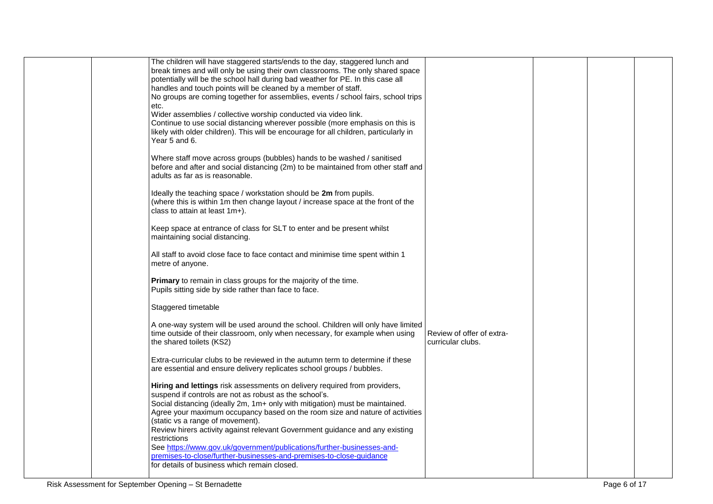|  | The children will have staggered starts/ends to the day, staggered lunch and                                     |                           |  |  |
|--|------------------------------------------------------------------------------------------------------------------|---------------------------|--|--|
|  | break times and will only be using their own classrooms. The only shared space                                   |                           |  |  |
|  | potentially will be the school hall during bad weather for PE. In this case all                                  |                           |  |  |
|  | handles and touch points will be cleaned by a member of staff.                                                   |                           |  |  |
|  | No groups are coming together for assemblies, events / school fairs, school trips                                |                           |  |  |
|  | etc.                                                                                                             |                           |  |  |
|  | Wider assemblies / collective worship conducted via video link.                                                  |                           |  |  |
|  | Continue to use social distancing wherever possible (more emphasis on this is                                    |                           |  |  |
|  | likely with older children). This will be encourage for all children, particularly in                            |                           |  |  |
|  | Year 5 and 6.                                                                                                    |                           |  |  |
|  |                                                                                                                  |                           |  |  |
|  | Where staff move across groups (bubbles) hands to be washed / sanitised                                          |                           |  |  |
|  | before and after and social distancing (2m) to be maintained from other staff and                                |                           |  |  |
|  | adults as far as is reasonable.                                                                                  |                           |  |  |
|  | Ideally the teaching space / workstation should be 2m from pupils.                                               |                           |  |  |
|  | (where this is within 1m then change layout / increase space at the front of the                                 |                           |  |  |
|  | class to attain at least 1m+).                                                                                   |                           |  |  |
|  |                                                                                                                  |                           |  |  |
|  | Keep space at entrance of class for SLT to enter and be present whilst                                           |                           |  |  |
|  | maintaining social distancing.                                                                                   |                           |  |  |
|  |                                                                                                                  |                           |  |  |
|  | All staff to avoid close face to face contact and minimise time spent within 1                                   |                           |  |  |
|  | metre of anyone.                                                                                                 |                           |  |  |
|  |                                                                                                                  |                           |  |  |
|  | Primary to remain in class groups for the majority of the time.                                                  |                           |  |  |
|  | Pupils sitting side by side rather than face to face.                                                            |                           |  |  |
|  | Staggered timetable                                                                                              |                           |  |  |
|  |                                                                                                                  |                           |  |  |
|  | A one-way system will be used around the school. Children will only have limited                                 |                           |  |  |
|  | time outside of their classroom, only when necessary, for example when using                                     | Review of offer of extra- |  |  |
|  | the shared toilets (KS2)                                                                                         | curricular clubs.         |  |  |
|  |                                                                                                                  |                           |  |  |
|  | Extra-curricular clubs to be reviewed in the autumn term to determine if these                                   |                           |  |  |
|  | are essential and ensure delivery replicates school groups / bubbles.                                            |                           |  |  |
|  |                                                                                                                  |                           |  |  |
|  | Hiring and lettings risk assessments on delivery required from providers,                                        |                           |  |  |
|  | suspend if controls are not as robust as the school's.                                                           |                           |  |  |
|  | Social distancing (ideally 2m, 1m+ only with mitigation) must be maintained.                                     |                           |  |  |
|  | Agree your maximum occupancy based on the room size and nature of activities                                     |                           |  |  |
|  | (static vs a range of movement).<br>Review hirers activity against relevant Government guidance and any existing |                           |  |  |
|  | restrictions                                                                                                     |                           |  |  |
|  | See https://www.gov.uk/government/publications/further-businesses-and-                                           |                           |  |  |
|  | premises-to-close/further-businesses-and-premises-to-close-quidance                                              |                           |  |  |
|  | for details of business which remain closed.                                                                     |                           |  |  |
|  |                                                                                                                  |                           |  |  |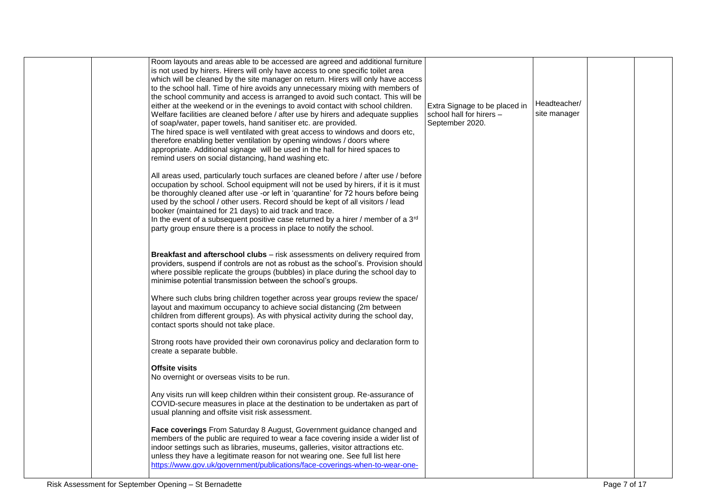|  | Room layouts and areas able to be accessed are agreed and additional furniture<br>is not used by hirers. Hirers will only have access to one specific toilet area<br>which will be cleaned by the site manager on return. Hirers will only have access<br>to the school hall. Time of hire avoids any unnecessary mixing with members of<br>the school community and access is arranged to avoid such contact. This will be<br>either at the weekend or in the evenings to avoid contact with school children.<br>Welfare facilities are cleaned before / after use by hirers and adequate supplies<br>of soap/water, paper towels, hand sanitiser etc. are provided.<br>The hired space is well ventilated with great access to windows and doors etc,<br>therefore enabling better ventilation by opening windows / doors where<br>appropriate. Additional signage will be used in the hall for hired spaces to<br>remind users on social distancing, hand washing etc. | Extra Signage to be placed in<br>school hall for hirers -<br>September 2020. | Headteacher/<br>site manager |  |
|--|---------------------------------------------------------------------------------------------------------------------------------------------------------------------------------------------------------------------------------------------------------------------------------------------------------------------------------------------------------------------------------------------------------------------------------------------------------------------------------------------------------------------------------------------------------------------------------------------------------------------------------------------------------------------------------------------------------------------------------------------------------------------------------------------------------------------------------------------------------------------------------------------------------------------------------------------------------------------------|------------------------------------------------------------------------------|------------------------------|--|
|  | All areas used, particularly touch surfaces are cleaned before / after use / before<br>occupation by school. School equipment will not be used by hirers, if it is it must<br>be thoroughly cleaned after use -or left in 'quarantine' for 72 hours before being<br>used by the school / other users. Record should be kept of all visitors / lead<br>booker (maintained for 21 days) to aid track and trace.<br>In the event of a subsequent positive case returned by a hirer / member of a 3rd<br>party group ensure there is a process in place to notify the school.                                                                                                                                                                                                                                                                                                                                                                                                 |                                                                              |                              |  |
|  | Breakfast and afterschool clubs - risk assessments on delivery required from<br>providers, suspend if controls are not as robust as the school's. Provision should<br>where possible replicate the groups (bubbles) in place during the school day to<br>minimise potential transmission between the school's groups.                                                                                                                                                                                                                                                                                                                                                                                                                                                                                                                                                                                                                                                     |                                                                              |                              |  |
|  | Where such clubs bring children together across year groups review the space/<br>layout and maximum occupancy to achieve social distancing (2m between<br>children from different groups). As with physical activity during the school day,<br>contact sports should not take place.                                                                                                                                                                                                                                                                                                                                                                                                                                                                                                                                                                                                                                                                                      |                                                                              |                              |  |
|  | Strong roots have provided their own coronavirus policy and declaration form to<br>create a separate bubble.                                                                                                                                                                                                                                                                                                                                                                                                                                                                                                                                                                                                                                                                                                                                                                                                                                                              |                                                                              |                              |  |
|  | Offsite visits<br>No overnight or overseas visits to be run.                                                                                                                                                                                                                                                                                                                                                                                                                                                                                                                                                                                                                                                                                                                                                                                                                                                                                                              |                                                                              |                              |  |
|  | Any visits run will keep children within their consistent group. Re-assurance of<br>COVID-secure measures in place at the destination to be undertaken as part of<br>usual planning and offsite visit risk assessment.                                                                                                                                                                                                                                                                                                                                                                                                                                                                                                                                                                                                                                                                                                                                                    |                                                                              |                              |  |
|  | Face coverings From Saturday 8 August, Government guidance changed and<br>members of the public are required to wear a face covering inside a wider list of<br>indoor settings such as libraries, museums, galleries, visitor attractions etc.<br>unless they have a legitimate reason for not wearing one. See full list here<br>https://www.gov.uk/government/publications/face-coverings-when-to-wear-one-                                                                                                                                                                                                                                                                                                                                                                                                                                                                                                                                                             |                                                                              |                              |  |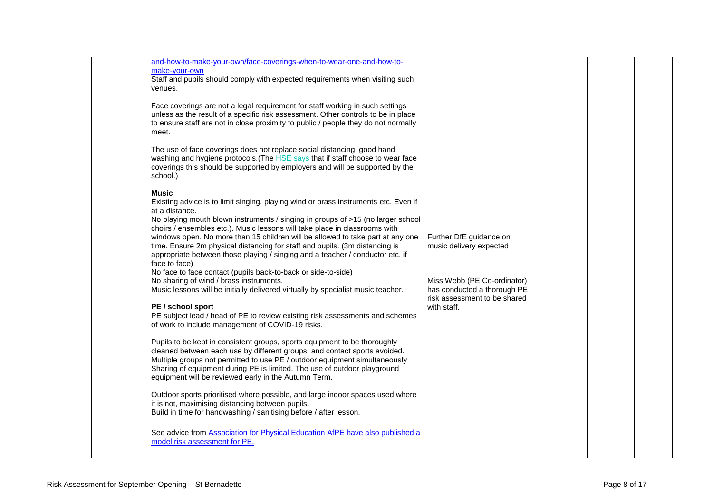| make-your-own<br>Staff and pupils should comply with expected requirements when visiting such<br>venues.<br>Face coverings are not a legal requirement for staff working in such settings<br>unless as the result of a specific risk assessment. Other controls to be in place<br>to ensure staff are not in close proximity to public / people they do not normally<br>meet.<br>The use of face coverings does not replace social distancing, good hand<br>washing and hygiene protocols. (The HSE says that if staff choose to wear face<br>coverings this should be supported by employers and will be supported by the<br>school.)<br>Music<br>Existing advice is to limit singing, playing wind or brass instruments etc. Even if<br>at a distance.<br>No playing mouth blown instruments / singing in groups of >15 (no larger school<br>choirs / ensembles etc.). Music lessons will take place in classrooms with<br>windows open. No more than 15 children will be allowed to take part at any one<br>Further DfE guidance on<br>time. Ensure 2m physical distancing for staff and pupils. (3m distancing is<br>music delivery expected<br>appropriate between those playing / singing and a teacher / conductor etc. if<br>face to face)<br>No face to face contact (pupils back-to-back or side-to-side)<br>No sharing of wind / brass instruments.<br>Miss Webb (PE Co-ordinator)<br>Music lessons will be initially delivered virtually by specialist music teacher.<br>has conducted a thorough PE<br>risk assessment to be shared<br>PE / school sport<br>with staff.<br>PE subject lead / head of PE to review existing risk assessments and schemes<br>of work to include management of COVID-19 risks.<br>Pupils to be kept in consistent groups, sports equipment to be thoroughly<br>cleaned between each use by different groups, and contact sports avoided.<br>Multiple groups not permitted to use PE / outdoor equipment simultaneously<br>Sharing of equipment during PE is limited. The use of outdoor playground<br>equipment will be reviewed early in the Autumn Term.<br>Outdoor sports prioritised where possible, and large indoor spaces used where<br>it is not, maximising distancing between pupils.<br>Build in time for handwashing / sanitising before / after lesson.<br>See advice from <b>Association for Physical Education AfPE</b> have also published a<br>model risk assessment for PE. |  |                                                                      |  |  |
|-----------------------------------------------------------------------------------------------------------------------------------------------------------------------------------------------------------------------------------------------------------------------------------------------------------------------------------------------------------------------------------------------------------------------------------------------------------------------------------------------------------------------------------------------------------------------------------------------------------------------------------------------------------------------------------------------------------------------------------------------------------------------------------------------------------------------------------------------------------------------------------------------------------------------------------------------------------------------------------------------------------------------------------------------------------------------------------------------------------------------------------------------------------------------------------------------------------------------------------------------------------------------------------------------------------------------------------------------------------------------------------------------------------------------------------------------------------------------------------------------------------------------------------------------------------------------------------------------------------------------------------------------------------------------------------------------------------------------------------------------------------------------------------------------------------------------------------------------------------------------------------------------------------------------------------------------------------------------------------------------------------------------------------------------------------------------------------------------------------------------------------------------------------------------------------------------------------------------------------------------------------------------------------------------------------------------------------------------------------------------------------------------------------------------------------------|--|----------------------------------------------------------------------|--|--|
|                                                                                                                                                                                                                                                                                                                                                                                                                                                                                                                                                                                                                                                                                                                                                                                                                                                                                                                                                                                                                                                                                                                                                                                                                                                                                                                                                                                                                                                                                                                                                                                                                                                                                                                                                                                                                                                                                                                                                                                                                                                                                                                                                                                                                                                                                                                                                                                                                                         |  | and-how-to-make-your-own/face-coverings-when-to-wear-one-and-how-to- |  |  |
|                                                                                                                                                                                                                                                                                                                                                                                                                                                                                                                                                                                                                                                                                                                                                                                                                                                                                                                                                                                                                                                                                                                                                                                                                                                                                                                                                                                                                                                                                                                                                                                                                                                                                                                                                                                                                                                                                                                                                                                                                                                                                                                                                                                                                                                                                                                                                                                                                                         |  |                                                                      |  |  |
|                                                                                                                                                                                                                                                                                                                                                                                                                                                                                                                                                                                                                                                                                                                                                                                                                                                                                                                                                                                                                                                                                                                                                                                                                                                                                                                                                                                                                                                                                                                                                                                                                                                                                                                                                                                                                                                                                                                                                                                                                                                                                                                                                                                                                                                                                                                                                                                                                                         |  |                                                                      |  |  |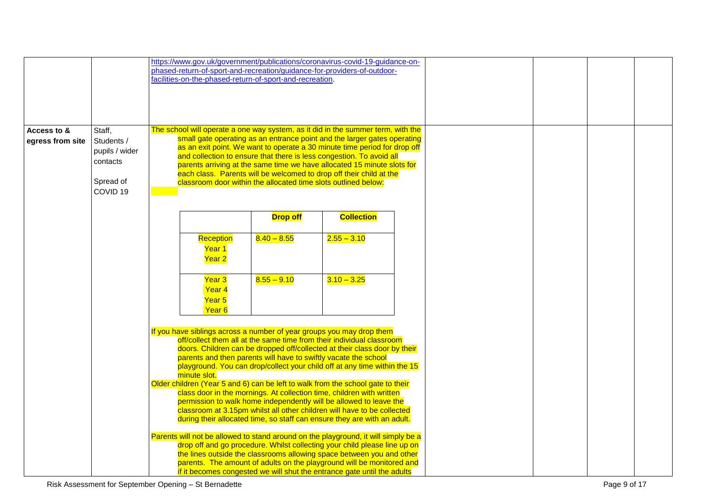|                  |                     |                   |                                                          |                 | https://www.gov.uk/government/publications/coronavirus-covid-19-guidance-on-       |  |  |
|------------------|---------------------|-------------------|----------------------------------------------------------|-----------------|------------------------------------------------------------------------------------|--|--|
|                  |                     |                   |                                                          |                 | phased-return-of-sport-and-recreation/guidance-for-providers-of-outdoor-           |  |  |
|                  |                     |                   | facilities-on-the-phased-return-of-sport-and-recreation. |                 |                                                                                    |  |  |
|                  |                     |                   |                                                          |                 |                                                                                    |  |  |
|                  |                     |                   |                                                          |                 |                                                                                    |  |  |
|                  |                     |                   |                                                          |                 |                                                                                    |  |  |
| Access to &      | Staff,              |                   |                                                          |                 | The school will operate a one way system, as it did in the summer term, with the   |  |  |
| egress from site | Students /          |                   |                                                          |                 | small gate operating as an entrance point and the larger gates operating           |  |  |
|                  | pupils / wider      |                   |                                                          |                 | as an exit point. We want to operate a 30 minute time period for drop off          |  |  |
|                  |                     |                   |                                                          |                 | and collection to ensure that there is less congestion. To avoid all               |  |  |
|                  | contacts            |                   |                                                          |                 | parents arriving at the same time we have allocated 15 minute slots for            |  |  |
|                  |                     |                   |                                                          |                 | each class. Parents will be welcomed to drop off their child at the                |  |  |
|                  | Spread of           |                   |                                                          |                 | classroom door within the allocated time slots outlined below:                     |  |  |
|                  | COVID <sub>19</sub> |                   |                                                          |                 |                                                                                    |  |  |
|                  |                     |                   |                                                          |                 |                                                                                    |  |  |
|                  |                     |                   |                                                          | <b>Drop off</b> | <b>Collection</b>                                                                  |  |  |
|                  |                     |                   |                                                          |                 |                                                                                    |  |  |
|                  |                     |                   |                                                          |                 |                                                                                    |  |  |
|                  |                     | Reception         |                                                          | $8.40 - 8.55$   | $2.55 - 3.10$                                                                      |  |  |
|                  |                     | Year 1            |                                                          |                 |                                                                                    |  |  |
|                  |                     | Year <sub>2</sub> |                                                          |                 |                                                                                    |  |  |
|                  |                     |                   |                                                          |                 |                                                                                    |  |  |
|                  |                     | Year <sub>3</sub> |                                                          | $8.55 - 9.10$   | $3.10 - 3.25$                                                                      |  |  |
|                  |                     |                   | Year 4                                                   |                 |                                                                                    |  |  |
|                  |                     | Year <sub>5</sub> |                                                          |                 |                                                                                    |  |  |
|                  |                     |                   | Year <sub>6</sub>                                        |                 |                                                                                    |  |  |
|                  |                     |                   |                                                          |                 |                                                                                    |  |  |
|                  |                     |                   |                                                          |                 | If you have siblings across a number of year groups you may drop them              |  |  |
|                  |                     |                   |                                                          |                 | off/collect them all at the same time from their individual classroom              |  |  |
|                  |                     |                   |                                                          |                 | doors. Children can be dropped off/collected at their class door by their          |  |  |
|                  |                     |                   |                                                          |                 | parents and then parents will have to swiftly vacate the school                    |  |  |
|                  |                     |                   |                                                          |                 | playground. You can drop/collect your child off at any time within the 15          |  |  |
|                  |                     | minute slot.      |                                                          |                 |                                                                                    |  |  |
|                  |                     |                   |                                                          |                 | Older children (Year 5 and 6) can be left to walk from the school gate to their    |  |  |
|                  |                     |                   |                                                          |                 | class door in the mornings. At collection time, children with written              |  |  |
|                  |                     |                   |                                                          |                 | permission to walk home independently will be allowed to leave the                 |  |  |
|                  |                     |                   |                                                          |                 | classroom at 3.15pm whilst all other children will have to be collected            |  |  |
|                  |                     |                   |                                                          |                 | during their allocated time, so staff can ensure they are with an adult.           |  |  |
|                  |                     |                   |                                                          |                 |                                                                                    |  |  |
|                  |                     |                   |                                                          |                 | Parents will not be allowed to stand around on the playground, it will simply be a |  |  |
|                  |                     |                   |                                                          |                 | drop off and go procedure. Whilst collecting your child please line up on          |  |  |
|                  |                     |                   |                                                          |                 | the lines outside the classrooms allowing space between you and other              |  |  |
|                  |                     |                   |                                                          |                 | parents. The amount of adults on the playground will be monitored and              |  |  |
|                  |                     |                   |                                                          |                 | if it becomes congested we will shut the entrance gate until the adults            |  |  |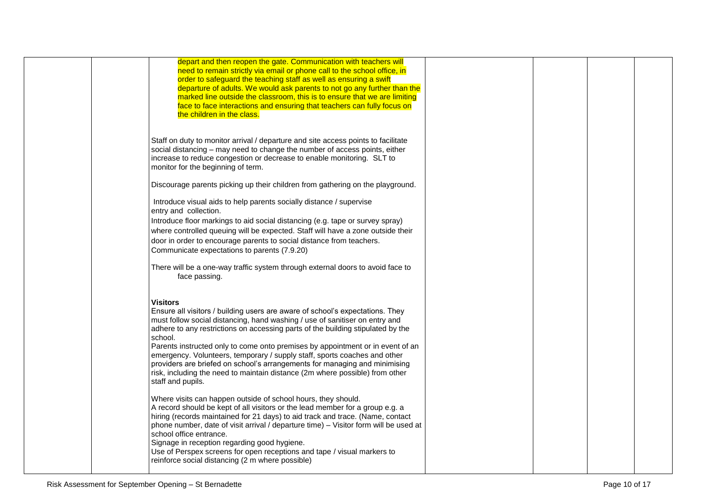| depart and then reopen the gate. Communication with teachers will                    |  |  |
|--------------------------------------------------------------------------------------|--|--|
| need to remain strictly via email or phone call to the school office, in             |  |  |
| order to safeguard the teaching staff as well as ensuring a swift                    |  |  |
| departure of adults. We would ask parents to not go any further than the             |  |  |
| marked line outside the classroom, this is to ensure that we are limiting            |  |  |
| face to face interactions and ensuring that teachers can fully focus on              |  |  |
| the children in the class.                                                           |  |  |
|                                                                                      |  |  |
|                                                                                      |  |  |
| Staff on duty to monitor arrival / departure and site access points to facilitate    |  |  |
| social distancing - may need to change the number of access points, either           |  |  |
| increase to reduce congestion or decrease to enable monitoring. SLT to               |  |  |
| monitor for the beginning of term.                                                   |  |  |
|                                                                                      |  |  |
| Discourage parents picking up their children from gathering on the playground.       |  |  |
|                                                                                      |  |  |
| Introduce visual aids to help parents socially distance / supervise                  |  |  |
| entry and collection.                                                                |  |  |
| Introduce floor markings to aid social distancing (e.g. tape or survey spray)        |  |  |
| where controlled queuing will be expected. Staff will have a zone outside their      |  |  |
|                                                                                      |  |  |
| door in order to encourage parents to social distance from teachers.                 |  |  |
| Communicate expectations to parents (7.9.20)                                         |  |  |
| There will be a one-way traffic system through external doors to avoid face to       |  |  |
| face passing.                                                                        |  |  |
|                                                                                      |  |  |
|                                                                                      |  |  |
| <b>Visitors</b>                                                                      |  |  |
| Ensure all visitors / building users are aware of school's expectations. They        |  |  |
| must follow social distancing, hand washing / use of sanitiser on entry and          |  |  |
| adhere to any restrictions on accessing parts of the building stipulated by the      |  |  |
| school.                                                                              |  |  |
| Parents instructed only to come onto premises by appointment or in event of an       |  |  |
| emergency. Volunteers, temporary / supply staff, sports coaches and other            |  |  |
| providers are briefed on school's arrangements for managing and minimising           |  |  |
| risk, including the need to maintain distance (2m where possible) from other         |  |  |
| staff and pupils.                                                                    |  |  |
|                                                                                      |  |  |
| Where visits can happen outside of school hours, they should.                        |  |  |
| A record should be kept of all visitors or the lead member for a group e.g. a        |  |  |
| hiring (records maintained for 21 days) to aid track and trace. (Name, contact       |  |  |
| phone number, date of visit arrival / departure time) - Visitor form will be used at |  |  |
| school office entrance.                                                              |  |  |
| Signage in reception regarding good hygiene.                                         |  |  |
| Use of Perspex screens for open receptions and tape / visual markers to              |  |  |
| reinforce social distancing (2 m where possible)                                     |  |  |
|                                                                                      |  |  |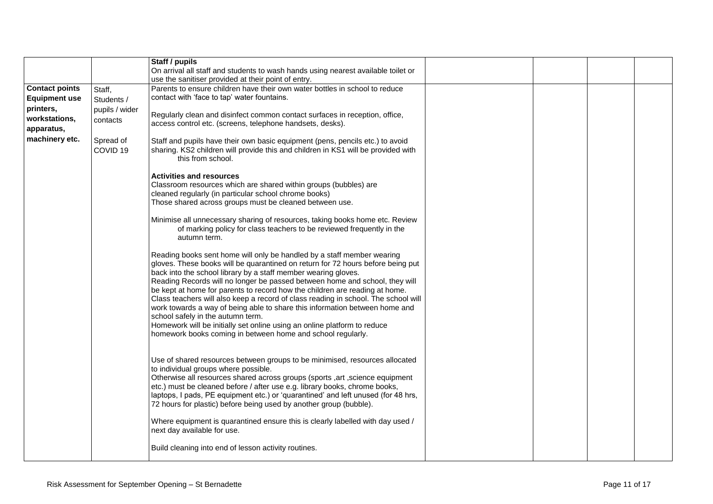|                       |                                  | Staff / pupils                                                                                                                                                                                                                                                                                                                                                                                                                                                                                                                                                                                                                                                                                                                                 |  |  |
|-----------------------|----------------------------------|------------------------------------------------------------------------------------------------------------------------------------------------------------------------------------------------------------------------------------------------------------------------------------------------------------------------------------------------------------------------------------------------------------------------------------------------------------------------------------------------------------------------------------------------------------------------------------------------------------------------------------------------------------------------------------------------------------------------------------------------|--|--|
|                       |                                  | On arrival all staff and students to wash hands using nearest available toilet or                                                                                                                                                                                                                                                                                                                                                                                                                                                                                                                                                                                                                                                              |  |  |
|                       |                                  | use the sanitiser provided at their point of entry.                                                                                                                                                                                                                                                                                                                                                                                                                                                                                                                                                                                                                                                                                            |  |  |
| <b>Contact points</b> | Staff,                           | Parents to ensure children have their own water bottles in school to reduce                                                                                                                                                                                                                                                                                                                                                                                                                                                                                                                                                                                                                                                                    |  |  |
| <b>Equipment use</b>  | Students /                       | contact with 'face to tap' water fountains.                                                                                                                                                                                                                                                                                                                                                                                                                                                                                                                                                                                                                                                                                                    |  |  |
| printers,             | pupils / wider                   |                                                                                                                                                                                                                                                                                                                                                                                                                                                                                                                                                                                                                                                                                                                                                |  |  |
| workstations,         | contacts                         | Regularly clean and disinfect common contact surfaces in reception, office,                                                                                                                                                                                                                                                                                                                                                                                                                                                                                                                                                                                                                                                                    |  |  |
| apparatus,            |                                  | access control etc. (screens, telephone handsets, desks).                                                                                                                                                                                                                                                                                                                                                                                                                                                                                                                                                                                                                                                                                      |  |  |
| machinery etc.        | Spread of<br>COVID <sub>19</sub> | Staff and pupils have their own basic equipment (pens, pencils etc.) to avoid<br>sharing. KS2 children will provide this and children in KS1 will be provided with<br>this from school.                                                                                                                                                                                                                                                                                                                                                                                                                                                                                                                                                        |  |  |
|                       |                                  | <b>Activities and resources</b><br>Classroom resources which are shared within groups (bubbles) are                                                                                                                                                                                                                                                                                                                                                                                                                                                                                                                                                                                                                                            |  |  |
|                       |                                  | cleaned regularly (in particular school chrome books)<br>Those shared across groups must be cleaned between use.                                                                                                                                                                                                                                                                                                                                                                                                                                                                                                                                                                                                                               |  |  |
|                       |                                  |                                                                                                                                                                                                                                                                                                                                                                                                                                                                                                                                                                                                                                                                                                                                                |  |  |
|                       |                                  | Minimise all unnecessary sharing of resources, taking books home etc. Review<br>of marking policy for class teachers to be reviewed frequently in the<br>autumn term.                                                                                                                                                                                                                                                                                                                                                                                                                                                                                                                                                                          |  |  |
|                       |                                  | Reading books sent home will only be handled by a staff member wearing<br>gloves. These books will be quarantined on return for 72 hours before being put<br>back into the school library by a staff member wearing gloves.<br>Reading Records will no longer be passed between home and school, they will<br>be kept at home for parents to record how the children are reading at home.<br>Class teachers will also keep a record of class reading in school. The school will<br>work towards a way of being able to share this information between home and<br>school safely in the autumn term.<br>Homework will be initially set online using an online platform to reduce<br>homework books coming in between home and school regularly. |  |  |
|                       |                                  | Use of shared resources between groups to be minimised, resources allocated<br>to individual groups where possible.<br>Otherwise all resources shared across groups (sports , art , science equipment<br>etc.) must be cleaned before / after use e.g. library books, chrome books,<br>laptops, I pads, PE equipment etc.) or 'quarantined' and left unused (for 48 hrs,<br>72 hours for plastic) before being used by another group (bubble).                                                                                                                                                                                                                                                                                                 |  |  |
|                       |                                  | Where equipment is quarantined ensure this is clearly labelled with day used /<br>next day available for use.                                                                                                                                                                                                                                                                                                                                                                                                                                                                                                                                                                                                                                  |  |  |
|                       |                                  | Build cleaning into end of lesson activity routines.                                                                                                                                                                                                                                                                                                                                                                                                                                                                                                                                                                                                                                                                                           |  |  |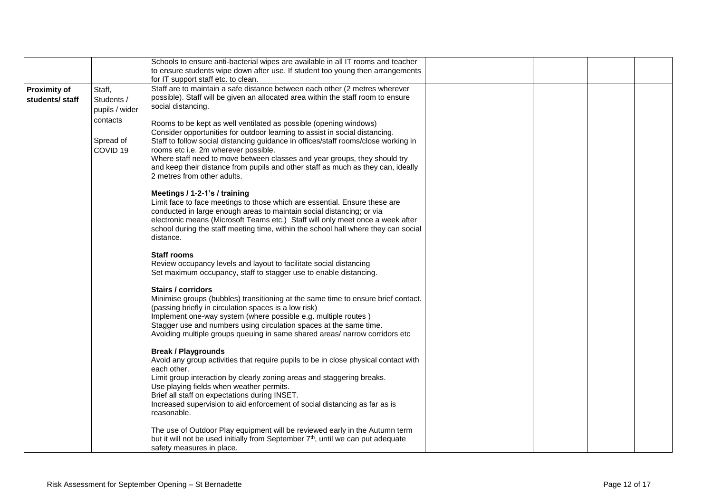| to ensure students wipe down after use. If student too young then arrangements                                                                                       |  |
|----------------------------------------------------------------------------------------------------------------------------------------------------------------------|--|
| for IT support staff etc. to clean.                                                                                                                                  |  |
| Staff are to maintain a safe distance between each other (2 metres wherever<br><b>Proximity of</b><br>Staff,                                                         |  |
| possible). Staff will be given an allocated area within the staff room to ensure<br>Students /<br>students/staff                                                     |  |
| social distancing.<br>pupils / wider                                                                                                                                 |  |
| contacts<br>Rooms to be kept as well ventilated as possible (opening windows)                                                                                        |  |
| Consider opportunities for outdoor learning to assist in social distancing.                                                                                          |  |
| Spread of<br>Staff to follow social distancing guidance in offices/staff rooms/close working in                                                                      |  |
| COVID <sub>19</sub><br>rooms etc i.e. 2m wherever possible.                                                                                                          |  |
| Where staff need to move between classes and year groups, they should try                                                                                            |  |
| and keep their distance from pupils and other staff as much as they can, ideally<br>2 metres from other adults.                                                      |  |
|                                                                                                                                                                      |  |
| Meetings / 1-2-1's / training                                                                                                                                        |  |
| Limit face to face meetings to those which are essential. Ensure these are                                                                                           |  |
| conducted in large enough areas to maintain social distancing; or via                                                                                                |  |
| electronic means (Microsoft Teams etc.) Staff will only meet once a week after<br>school during the staff meeting time, within the school hall where they can social |  |
| distance.                                                                                                                                                            |  |
|                                                                                                                                                                      |  |
| <b>Staff rooms</b>                                                                                                                                                   |  |
| Review occupancy levels and layout to facilitate social distancing                                                                                                   |  |
| Set maximum occupancy, staff to stagger use to enable distancing.                                                                                                    |  |
| Stairs / corridors                                                                                                                                                   |  |
| Minimise groups (bubbles) transitioning at the same time to ensure brief contact.                                                                                    |  |
| (passing briefly in circulation spaces is a low risk)                                                                                                                |  |
| Implement one-way system (where possible e.g. multiple routes)                                                                                                       |  |
| Stagger use and numbers using circulation spaces at the same time.<br>Avoiding multiple groups queuing in same shared areas/ narrow corridors etc                    |  |
|                                                                                                                                                                      |  |
| <b>Break / Playgrounds</b>                                                                                                                                           |  |
| Avoid any group activities that require pupils to be in close physical contact with                                                                                  |  |
| each other.                                                                                                                                                          |  |
| Limit group interaction by clearly zoning areas and staggering breaks.<br>Use playing fields when weather permits.                                                   |  |
| Brief all staff on expectations during INSET.                                                                                                                        |  |
| Increased supervision to aid enforcement of social distancing as far as is                                                                                           |  |
| reasonable.                                                                                                                                                          |  |
| The use of Outdoor Play equipment will be reviewed early in the Autumn term                                                                                          |  |
| but it will not be used initially from September 7 <sup>th</sup> , until we can put adequate                                                                         |  |
| safety measures in place.                                                                                                                                            |  |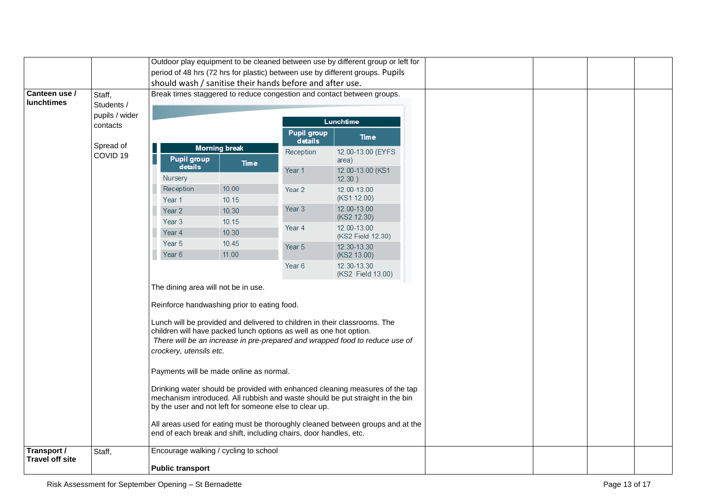|                                       |                    |                                                                                                                                                                                                                                                                                                           |                                                                   |                            | Outdoor play equipment to be cleaned between use by different group or left for |  |  |  |
|---------------------------------------|--------------------|-----------------------------------------------------------------------------------------------------------------------------------------------------------------------------------------------------------------------------------------------------------------------------------------------------------|-------------------------------------------------------------------|----------------------------|---------------------------------------------------------------------------------|--|--|--|
|                                       |                    |                                                                                                                                                                                                                                                                                                           |                                                                   |                            | period of 48 hrs (72 hrs for plastic) between use by different groups. Pupils   |  |  |  |
|                                       |                    |                                                                                                                                                                                                                                                                                                           | should wash / sanitise their hands before and after use.          |                            |                                                                                 |  |  |  |
| Canteen use /                         | Staff,             | Break times staggered to reduce congestion and contact between groups.                                                                                                                                                                                                                                    |                                                                   |                            |                                                                                 |  |  |  |
| <b>lunchtimes</b>                     | Students /         |                                                                                                                                                                                                                                                                                                           |                                                                   |                            |                                                                                 |  |  |  |
|                                       | pupils / wider     |                                                                                                                                                                                                                                                                                                           |                                                                   |                            | Lunchtime                                                                       |  |  |  |
| contacts                              |                    |                                                                                                                                                                                                                                                                                                           | <b>Pupil group</b><br>details                                     | <b>Time</b>                |                                                                                 |  |  |  |
|                                       | Spread of          |                                                                                                                                                                                                                                                                                                           | <b>Morning break</b>                                              | Reception                  | 12.00-13.00 (EYFS)                                                              |  |  |  |
| COVID <sub>19</sub>                   | <b>Pupil group</b> | <b>Time</b>                                                                                                                                                                                                                                                                                               |                                                                   | area)                      |                                                                                 |  |  |  |
|                                       | details<br>Nursery |                                                                                                                                                                                                                                                                                                           | Year 1                                                            | 12.00-13.00 (KS1<br>12.30) |                                                                                 |  |  |  |
|                                       |                    | Reception                                                                                                                                                                                                                                                                                                 | 10.00                                                             | Year <sub>2</sub>          | 12.00-13.00                                                                     |  |  |  |
|                                       |                    | Year 1                                                                                                                                                                                                                                                                                                    | 10.15                                                             |                            | (KS1 12.00)                                                                     |  |  |  |
|                                       |                    | Year <sub>2</sub>                                                                                                                                                                                                                                                                                         | 10.30                                                             | Year <sub>3</sub>          | 12.00-13.00                                                                     |  |  |  |
|                                       |                    | Year 3                                                                                                                                                                                                                                                                                                    | 10.15                                                             |                            | (KS2 12.30)                                                                     |  |  |  |
|                                       |                    | Year 4                                                                                                                                                                                                                                                                                                    | 10.30                                                             | Year 4                     | 12.00-13.00<br>(KS2 Field 12.30)                                                |  |  |  |
|                                       |                    | Year 5                                                                                                                                                                                                                                                                                                    | 10.45                                                             | Year 5                     | 12.30-13.30                                                                     |  |  |  |
|                                       |                    | Year 6                                                                                                                                                                                                                                                                                                    | 11.00                                                             |                            | (KS2 13.00)                                                                     |  |  |  |
|                                       |                    |                                                                                                                                                                                                                                                                                                           |                                                                   | Year 6                     | 12.30-13.30<br>(KS2 Field 13.00)                                                |  |  |  |
|                                       |                    | The dining area will not be in use.                                                                                                                                                                                                                                                                       |                                                                   |                            |                                                                                 |  |  |  |
|                                       |                    |                                                                                                                                                                                                                                                                                                           |                                                                   |                            |                                                                                 |  |  |  |
|                                       |                    |                                                                                                                                                                                                                                                                                                           | Reinforce handwashing prior to eating food.                       |                            |                                                                                 |  |  |  |
|                                       |                    | Lunch will be provided and delivered to children in their classrooms. The<br>children will have packed lunch options as well as one hot option.<br>There will be an increase in pre-prepared and wrapped food to reduce use of<br>crockery, utensils etc.                                                 |                                                                   |                            |                                                                                 |  |  |  |
|                                       |                    |                                                                                                                                                                                                                                                                                                           | Payments will be made online as normal.                           |                            |                                                                                 |  |  |  |
|                                       |                    | Drinking water should be provided with enhanced cleaning measures of the tap<br>mechanism introduced. All rubbish and waste should be put straight in the bin<br>by the user and not left for someone else to clear up.<br>All areas used for eating must be thoroughly cleaned between groups and at the |                                                                   |                            |                                                                                 |  |  |  |
|                                       |                    |                                                                                                                                                                                                                                                                                                           | end of each break and shift, including chairs, door handles, etc. |                            |                                                                                 |  |  |  |
| Transport /<br><b>Travel off site</b> | Staff,             |                                                                                                                                                                                                                                                                                                           | Encourage walking / cycling to school                             |                            |                                                                                 |  |  |  |
|                                       |                    | <b>Public transport</b>                                                                                                                                                                                                                                                                                   |                                                                   |                            |                                                                                 |  |  |  |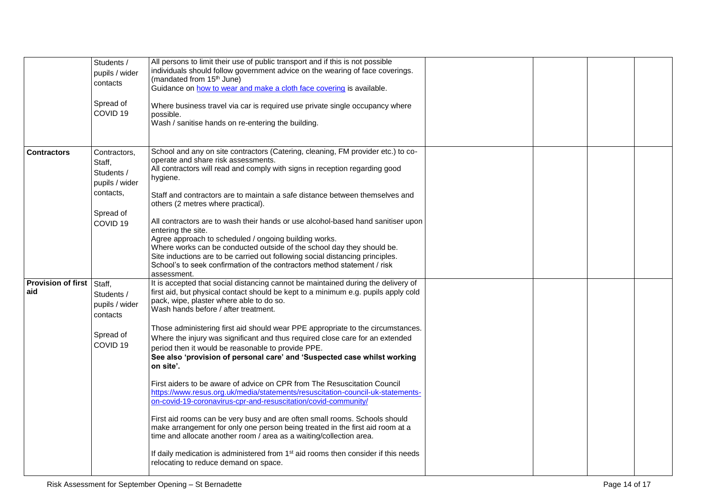|                                         | Students /<br>pupils / wider<br>contacts<br>Spread of<br>COVID <sub>19</sub>                            | All persons to limit their use of public transport and if this is not possible<br>individuals should follow government advice on the wearing of face coverings.<br>(mandated from 15 <sup>th</sup> June)<br>Guidance on how to wear and make a cloth face covering is available.<br>Where business travel via car is required use private single occupancy where<br>possible.<br>Wash / sanitise hands on re-entering the building.                                                                                                                                                                                                                                                                                                                                                                                                                                                                                                                                                                                                                                                                                                                                                             |  |  |
|-----------------------------------------|---------------------------------------------------------------------------------------------------------|-------------------------------------------------------------------------------------------------------------------------------------------------------------------------------------------------------------------------------------------------------------------------------------------------------------------------------------------------------------------------------------------------------------------------------------------------------------------------------------------------------------------------------------------------------------------------------------------------------------------------------------------------------------------------------------------------------------------------------------------------------------------------------------------------------------------------------------------------------------------------------------------------------------------------------------------------------------------------------------------------------------------------------------------------------------------------------------------------------------------------------------------------------------------------------------------------|--|--|
| <b>Contractors</b>                      | Contractors,<br>Staff,<br>Students /<br>pupils / wider<br>contacts,<br>Spread of<br>COVID <sub>19</sub> | School and any on site contractors (Catering, cleaning, FM provider etc.) to co-<br>operate and share risk assessments.<br>All contractors will read and comply with signs in reception regarding good<br>hygiene.<br>Staff and contractors are to maintain a safe distance between themselves and<br>others (2 metres where practical).<br>All contractors are to wash their hands or use alcohol-based hand sanitiser upon<br>entering the site.<br>Agree approach to scheduled / ongoing building works.<br>Where works can be conducted outside of the school day they should be.<br>Site inductions are to be carried out following social distancing principles.<br>School's to seek confirmation of the contractors method statement / risk<br>assessment.                                                                                                                                                                                                                                                                                                                                                                                                                               |  |  |
| <b>Provision of first</b> Staff,<br>aid | Students /<br>pupils / wider<br>contacts<br>Spread of<br>COVID <sub>19</sub>                            | It is accepted that social distancing cannot be maintained during the delivery of<br>first aid, but physical contact should be kept to a minimum e.g. pupils apply cold<br>pack, wipe, plaster where able to do so.<br>Wash hands before / after treatment.<br>Those administering first aid should wear PPE appropriate to the circumstances.<br>Where the injury was significant and thus required close care for an extended<br>period then it would be reasonable to provide PPE.<br>See also 'provision of personal care' and 'Suspected case whilst working<br>on site'.<br>First aiders to be aware of advice on CPR from The Resuscitation Council<br>https://www.resus.org.uk/media/statements/resuscitation-council-uk-statements-<br>on-covid-19-coronavirus-cpr-and-resuscitation/covid-community/<br>First aid rooms can be very busy and are often small rooms. Schools should<br>make arrangement for only one person being treated in the first aid room at a<br>time and allocate another room / area as a waiting/collection area.<br>If daily medication is administered from 1 <sup>st</sup> aid rooms then consider if this needs<br>relocating to reduce demand on space. |  |  |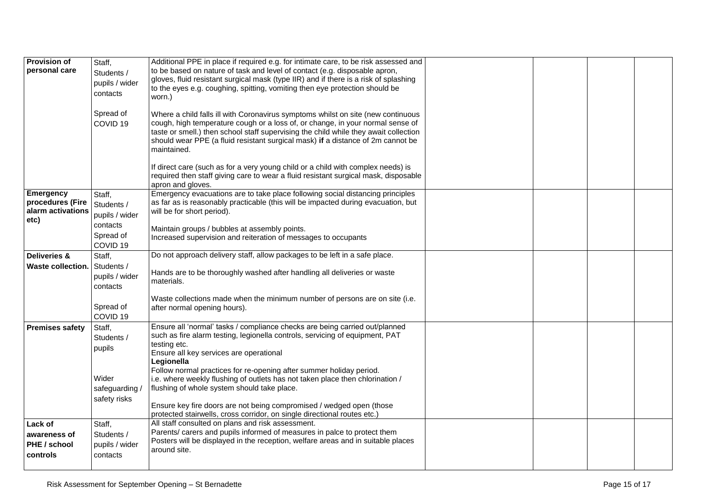| <b>Provision of</b><br>personal care                       | Staff,<br>Students /<br>pupils / wider<br>contacts<br>Spread of<br>COVID <sub>19</sub> | Additional PPE in place if required e.g. for intimate care, to be risk assessed and<br>to be based on nature of task and level of contact (e.g. disposable apron,<br>gloves, fluid resistant surgical mask (type IIR) and if there is a risk of splashing<br>to the eyes e.g. coughing, spitting, vomiting then eye protection should be<br>worn.)<br>Where a child falls ill with Coronavirus symptoms whilst on site (new continuous<br>cough, high temperature cough or a loss of, or change, in your normal sense of |  |  |
|------------------------------------------------------------|----------------------------------------------------------------------------------------|--------------------------------------------------------------------------------------------------------------------------------------------------------------------------------------------------------------------------------------------------------------------------------------------------------------------------------------------------------------------------------------------------------------------------------------------------------------------------------------------------------------------------|--|--|
|                                                            |                                                                                        | taste or smell.) then school staff supervising the child while they await collection<br>should wear PPE (a fluid resistant surgical mask) if a distance of 2m cannot be<br>maintained.<br>If direct care (such as for a very young child or a child with complex needs) is                                                                                                                                                                                                                                               |  |  |
|                                                            |                                                                                        | required then staff giving care to wear a fluid resistant surgical mask, disposable<br>apron and gloves.                                                                                                                                                                                                                                                                                                                                                                                                                 |  |  |
| Emergency<br>procedures (Fire<br>alarm activations<br>etc) | Staff,<br>Students /<br>pupils / wider                                                 | Emergency evacuations are to take place following social distancing principles<br>as far as is reasonably practicable (this will be impacted during evacuation, but<br>will be for short period).                                                                                                                                                                                                                                                                                                                        |  |  |
|                                                            | contacts<br>Spread of<br>COVID <sub>19</sub>                                           | Maintain groups / bubbles at assembly points.<br>Increased supervision and reiteration of messages to occupants                                                                                                                                                                                                                                                                                                                                                                                                          |  |  |
| Deliveries &<br><b>Waste collection.</b>                   | Staff,<br>Students /<br>pupils / wider<br>contacts                                     | Do not approach delivery staff, allow packages to be left in a safe place.<br>Hands are to be thoroughly washed after handling all deliveries or waste<br>materials.                                                                                                                                                                                                                                                                                                                                                     |  |  |
|                                                            | Spread of<br>COVID <sub>19</sub>                                                       | Waste collections made when the minimum number of persons are on site (i.e.<br>after normal opening hours).                                                                                                                                                                                                                                                                                                                                                                                                              |  |  |
| <b>Premises safety</b>                                     | Staff,<br>Students /<br>pupils                                                         | Ensure all 'normal' tasks / compliance checks are being carried out/planned<br>such as fire alarm testing, legionella controls, servicing of equipment, PAT<br>testing etc.<br>Ensure all key services are operational<br>Legionella<br>Follow normal practices for re-opening after summer holiday period.                                                                                                                                                                                                              |  |  |
|                                                            | Wider<br>safeguarding /<br>safety risks                                                | i.e. where weekly flushing of outlets has not taken place then chlorination /<br>flushing of whole system should take place.<br>Ensure key fire doors are not being compromised / wedged open (those<br>protected stairwells, cross corridor, on single directional routes etc.)                                                                                                                                                                                                                                         |  |  |
| Lack of<br>awareness of<br>PHE / school<br>controls        | Staff,<br>Students /<br>pupils / wider<br>contacts                                     | All staff consulted on plans and risk assessment.<br>Parents/ carers and pupils informed of measures in palce to protect them<br>Posters will be displayed in the reception, welfare areas and in suitable places<br>around site.                                                                                                                                                                                                                                                                                        |  |  |
|                                                            |                                                                                        |                                                                                                                                                                                                                                                                                                                                                                                                                                                                                                                          |  |  |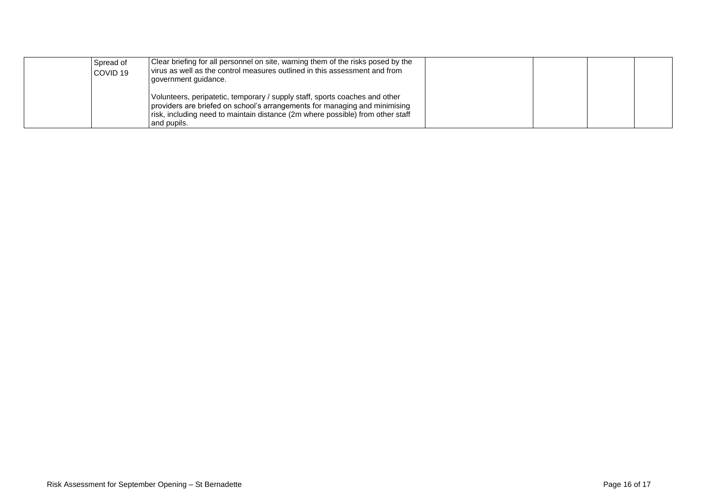| Spread of<br>COVID <sub>19</sub> | Clear briefing for all personnel on site, warning them of the risks posed by the<br>virus as well as the control measures outlined in this assessment and from<br>government guidance.                                                                     |  |  |
|----------------------------------|------------------------------------------------------------------------------------------------------------------------------------------------------------------------------------------------------------------------------------------------------------|--|--|
|                                  | Volunteers, peripatetic, temporary / supply staff, sports coaches and other<br>providers are briefed on school's arrangements for managing and minimising<br>risk, including need to maintain distance (2m where possible) from other staff<br>and pupils. |  |  |